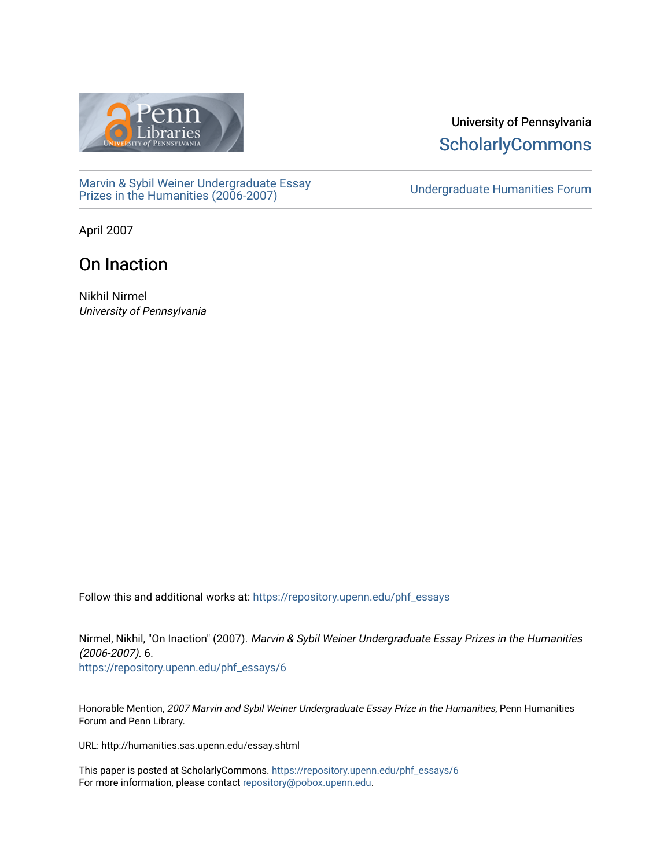

**ScholarlyCommons** 

[Marvin & Sybil Weiner Undergraduate Essay](https://repository.upenn.edu/phf_essays)  [Prizes in the Humanities \(2006-2007\)](https://repository.upenn.edu/phf_essays) [Undergraduate Humanities Forum](https://repository.upenn.edu/undergrad_hum_forum) 

University of Pennsylvania

April 2007

## On Inaction

Nikhil Nirmel University of Pennsylvania

Follow this and additional works at: [https://repository.upenn.edu/phf\\_essays](https://repository.upenn.edu/phf_essays?utm_source=repository.upenn.edu%2Fphf_essays%2F6&utm_medium=PDF&utm_campaign=PDFCoverPages) 

Nirmel, Nikhil, "On Inaction" (2007). Marvin & Sybil Weiner Undergraduate Essay Prizes in the Humanities (2006-2007). 6.

[https://repository.upenn.edu/phf\\_essays/6](https://repository.upenn.edu/phf_essays/6?utm_source=repository.upenn.edu%2Fphf_essays%2F6&utm_medium=PDF&utm_campaign=PDFCoverPages)

Honorable Mention, 2007 Marvin and Sybil Weiner Undergraduate Essay Prize in the Humanities, Penn Humanities Forum and Penn Library.

URL: http://humanities.sas.upenn.edu/essay.shtml

This paper is posted at ScholarlyCommons. [https://repository.upenn.edu/phf\\_essays/6](https://repository.upenn.edu/phf_essays/6)  For more information, please contact [repository@pobox.upenn.edu.](mailto:repository@pobox.upenn.edu)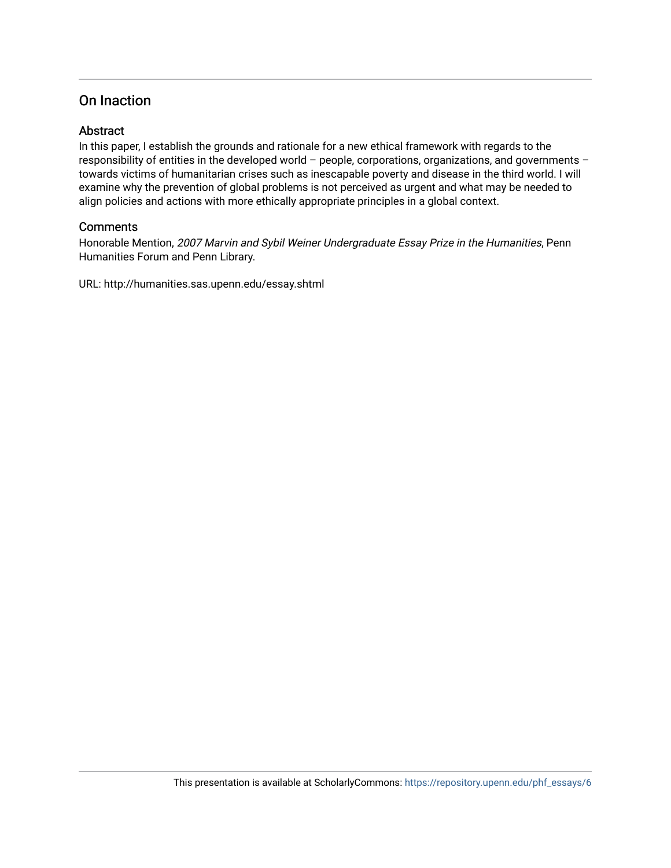## On Inaction

#### **Abstract**

In this paper, I establish the grounds and rationale for a new ethical framework with regards to the responsibility of entities in the developed world – people, corporations, organizations, and governments – towards victims of humanitarian crises such as inescapable poverty and disease in the third world. I will examine why the prevention of global problems is not perceived as urgent and what may be needed to align policies and actions with more ethically appropriate principles in a global context.

#### **Comments**

Honorable Mention, 2007 Marvin and Sybil Weiner Undergraduate Essay Prize in the Humanities, Penn Humanities Forum and Penn Library.

URL: http://humanities.sas.upenn.edu/essay.shtml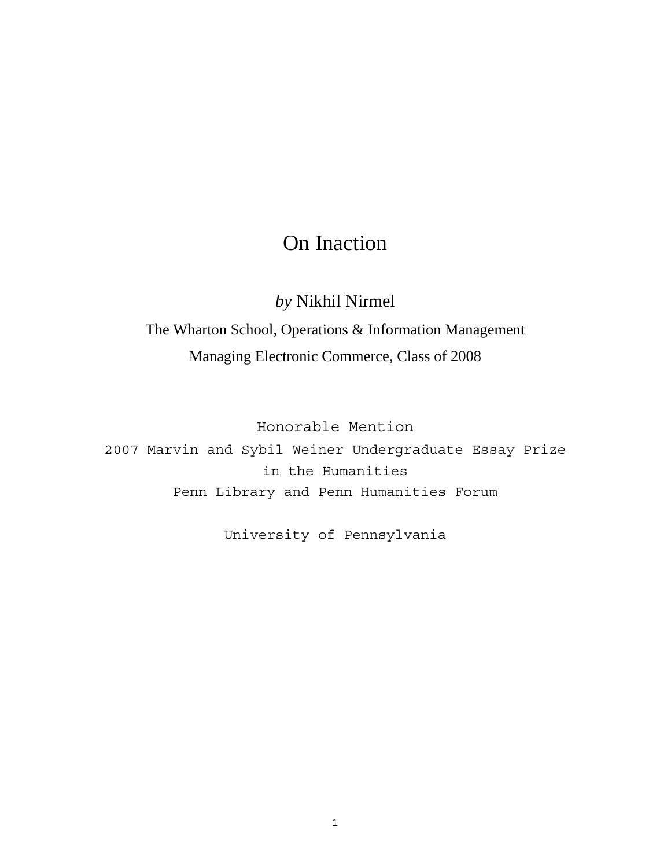# On Inaction

*by* Nikhil Nirmel

The Wharton School, Operations & Information Management Managing Electronic Commerce, Class of 2008

Honorable Mention

2007 Marvin and Sybil Weiner Undergraduate Essay Prize in the Humanities Penn Library and Penn Humanities Forum

University of Pennsylvania

1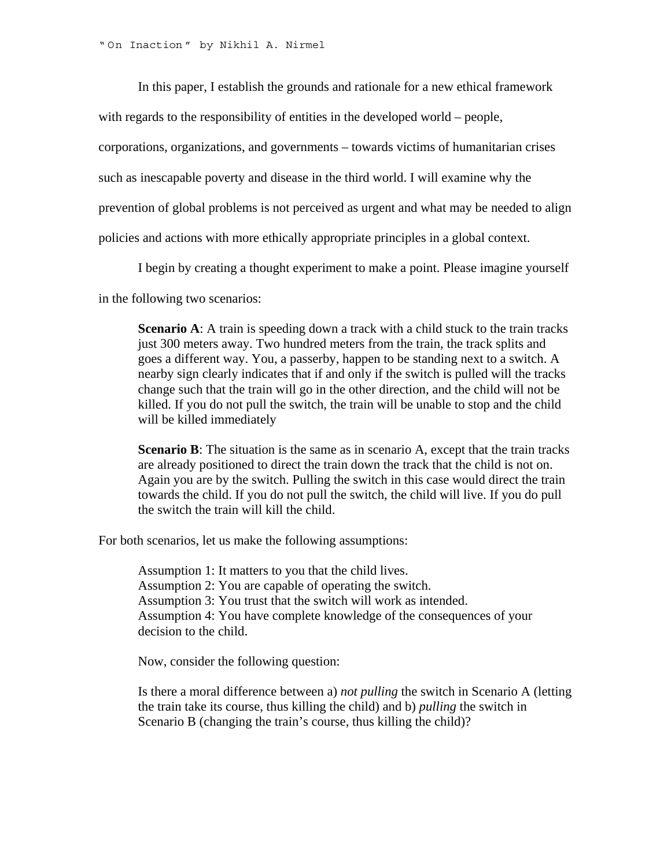" On Inaction " by Nikhil A. Nirmel

In this paper, I establish the grounds and rationale for a new ethical framework

with regards to the responsibility of entities in the developed world – people,

corporations, organizations, and governments – towards victims of humanitarian crises

such as inescapable poverty and disease in the third world. I will examine why the

prevention of global problems is not perceived as urgent and what may be needed to align

policies and actions with more ethically appropriate principles in a global context.

I begin by creating a thought experiment to make a point. Please imagine yourself

in the following two scenarios:

**Scenario A:** A train is speeding down a track with a child stuck to the train tracks just 300 meters away. Two hundred meters from the train, the track splits and goes a different way. You, a passerby, happen to be standing next to a switch. A nearby sign clearly indicates that if and only if the switch is pulled will the tracks change such that the train will go in the other direction, and the child will not be killed. If you do not pull the switch, the train will be unable to stop and the child will be killed immediately

**Scenario B**: The situation is the same as in scenario A, except that the train tracks are already positioned to direct the train down the track that the child is not on. Again you are by the switch. Pulling the switch in this case would direct the train towards the child. If you do not pull the switch, the child will live. If you do pull the switch the train will kill the child.

For both scenarios, let us make the following assumptions:

Assumption 1: It matters to you that the child lives. Assumption 2: You are capable of operating the switch. Assumption 3: You trust that the switch will work as intended. Assumption 4: You have complete knowledge of the consequences of your decision to the child.

Now, consider the following question:

Is there a moral difference between a) *not pulling* the switch in Scenario A (letting the train take its course, thus killing the child) and b) *pulling* the switch in Scenario B (changing the train's course, thus killing the child)?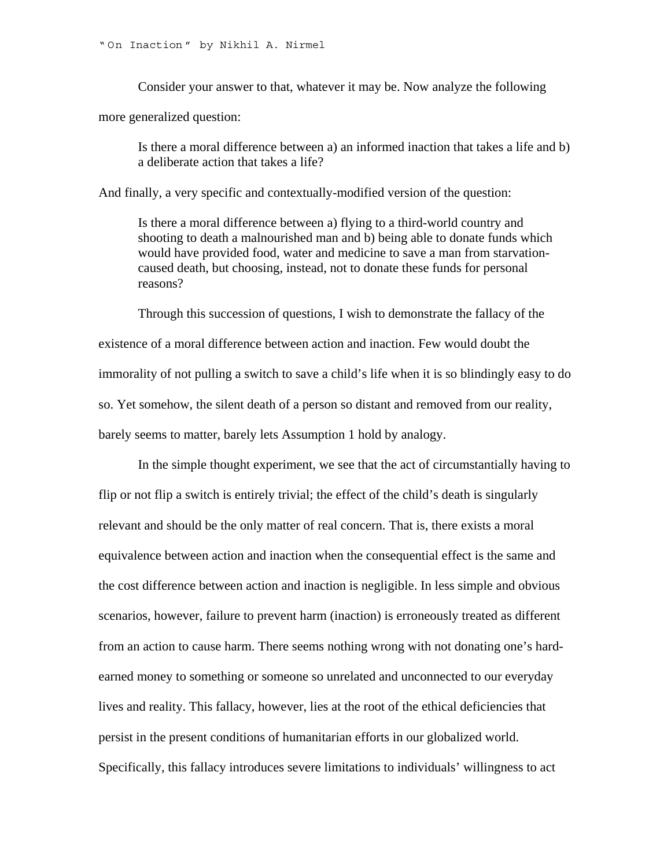Consider your answer to that, whatever it may be. Now analyze the following

more generalized question:

Is there a moral difference between a) an informed inaction that takes a life and b) a deliberate action that takes a life?

And finally, a very specific and contextually-modified version of the question:

Is there a moral difference between a) flying to a third-world country and shooting to death a malnourished man and b) being able to donate funds which would have provided food, water and medicine to save a man from starvationcaused death, but choosing, instead, not to donate these funds for personal reasons?

Through this succession of questions, I wish to demonstrate the fallacy of the existence of a moral difference between action and inaction. Few would doubt the immorality of not pulling a switch to save a child's life when it is so blindingly easy to do so. Yet somehow, the silent death of a person so distant and removed from our reality, barely seems to matter, barely lets Assumption 1 hold by analogy.

In the simple thought experiment, we see that the act of circumstantially having to flip or not flip a switch is entirely trivial; the effect of the child's death is singularly relevant and should be the only matter of real concern. That is, there exists a moral equivalence between action and inaction when the consequential effect is the same and the cost difference between action and inaction is negligible. In less simple and obvious scenarios, however, failure to prevent harm (inaction) is erroneously treated as different from an action to cause harm. There seems nothing wrong with not donating one's hardearned money to something or someone so unrelated and unconnected to our everyday lives and reality. This fallacy, however, lies at the root of the ethical deficiencies that persist in the present conditions of humanitarian efforts in our globalized world. Specifically, this fallacy introduces severe limitations to individuals' willingness to act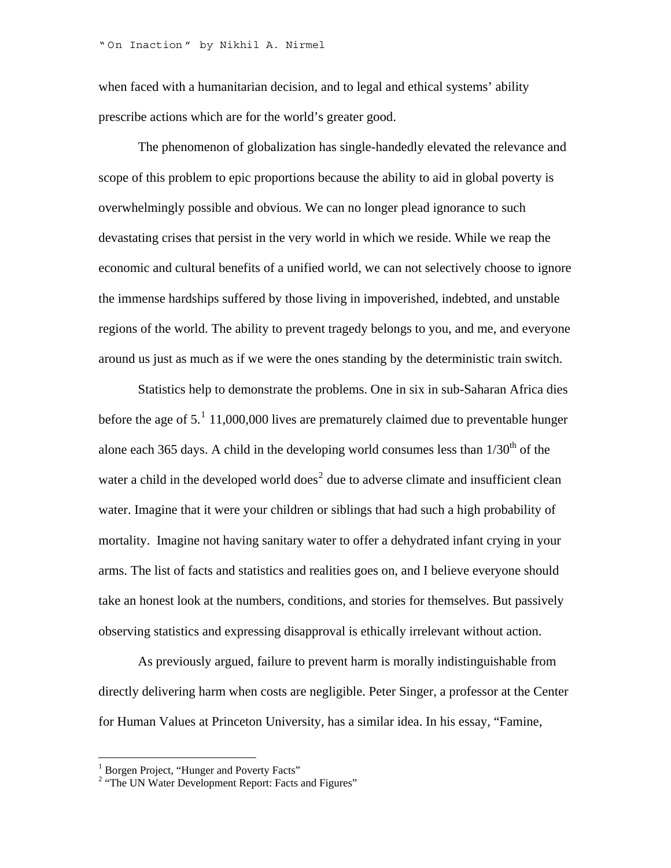when faced with a humanitarian decision, and to legal and ethical systems' ability prescribe actions which are for the world's greater good.

The phenomenon of globalization has single-handedly elevated the relevance and scope of this problem to epic proportions because the ability to aid in global poverty is overwhelmingly possible and obvious. We can no longer plead ignorance to such devastating crises that persist in the very world in which we reside. While we reap the economic and cultural benefits of a unified world, we can not selectively choose to ignore the immense hardships suffered by those living in impoverished, indebted, and unstable regions of the world. The ability to prevent tragedy belongs to you, and me, and everyone around us just as much as if we were the ones standing by the deterministic train switch.

Statistics help to demonstrate the problems. One in six in sub-Saharan Africa dies before the age of  $5<sup>1</sup>$  $5<sup>1</sup>$  $5<sup>1</sup>$  11,000,000 lives are prematurely claimed due to preventable hunger alone each 365 days. A child in the developing world consumes less than  $1/30<sup>th</sup>$  of the water a child in the developed world does<sup>[2](#page-5-1)</sup> due to adverse climate and insufficient clean water. Imagine that it were your children or siblings that had such a high probability of mortality. Imagine not having sanitary water to offer a dehydrated infant crying in your arms. The list of facts and statistics and realities goes on, and I believe everyone should take an honest look at the numbers, conditions, and stories for themselves. But passively observing statistics and expressing disapproval is ethically irrelevant without action.

As previously argued, failure to prevent harm is morally indistinguishable from directly delivering harm when costs are negligible. Peter Singer, a professor at the Center for Human Values at Princeton University, has a similar idea. In his essay, "Famine,

<span id="page-5-1"></span><span id="page-5-0"></span>

<sup>1&</sup>lt;br>
<sup>1</sup> Borgen Project, "Hunger and Poverty Facts"<br>
<sup>2</sup> "The UN Water Development Report: Facts and Figures"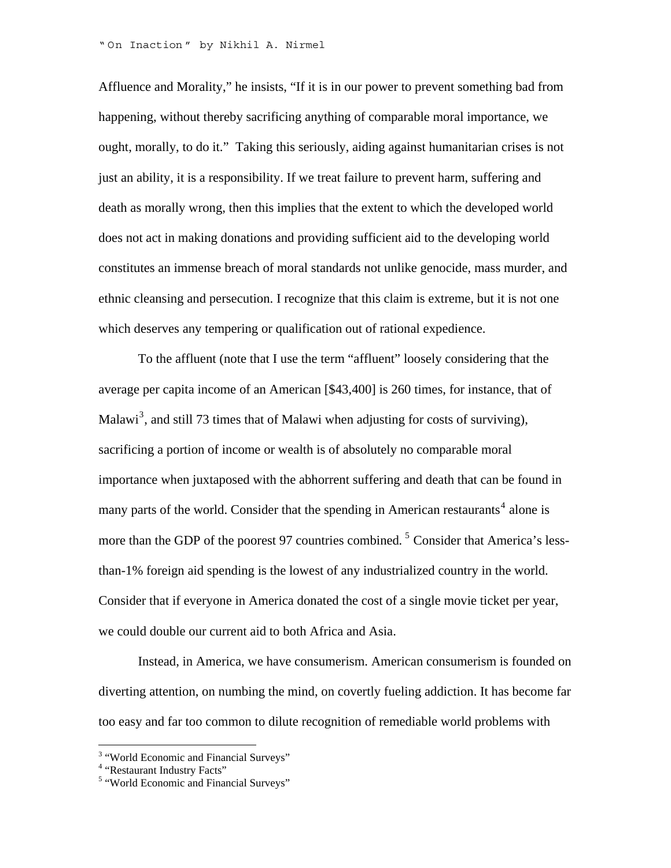Affluence and Morality," he insists, "If it is in our power to prevent something bad from happening, without thereby sacrificing anything of comparable moral importance, we ought, morally, to do it." Taking this seriously, aiding against humanitarian crises is not just an ability, it is a responsibility. If we treat failure to prevent harm, suffering and death as morally wrong, then this implies that the extent to which the developed world does not act in making donations and providing sufficient aid to the developing world constitutes an immense breach of moral standards not unlike genocide, mass murder, and ethnic cleansing and persecution. I recognize that this claim is extreme, but it is not one which deserves any tempering or qualification out of rational expedience.

To the affluent (note that I use the term "affluent" loosely considering that the average per capita income of an American [\$43,400] is 260 times, for instance, that of Malawi<sup>[3](#page-6-0)</sup>, and still 73 times that of Malawi when adjusting for costs of surviving), sacrificing a portion of income or wealth is of absolutely no comparable moral importance when juxtaposed with the abhorrent suffering and death that can be found in many parts of the world. Consider that the spending in American restaurants<sup>[4](#page-6-1)</sup> alone is more than the GDP of the poorest 97 countries combined. <sup>[5](#page-6-2)</sup> Consider that America's lessthan-1% foreign aid spending is the lowest of any industrialized country in the world. Consider that if everyone in America donated the cost of a single movie ticket per year, we could double our current aid to both Africa and Asia.

Instead, in America, we have consumerism. American consumerism is founded on diverting attention, on numbing the mind, on covertly fueling addiction. It has become far too easy and far too common to dilute recognition of remediable world problems with

1

<span id="page-6-0"></span><sup>&</sup>lt;sup>3</sup> "World Economic and Financial Surveys"

<span id="page-6-1"></span><sup>&</sup>lt;sup>4</sup> "Restaurant Industry Facts"

<span id="page-6-2"></span><sup>&</sup>lt;sup>5</sup> "World Economic and Financial Surveys"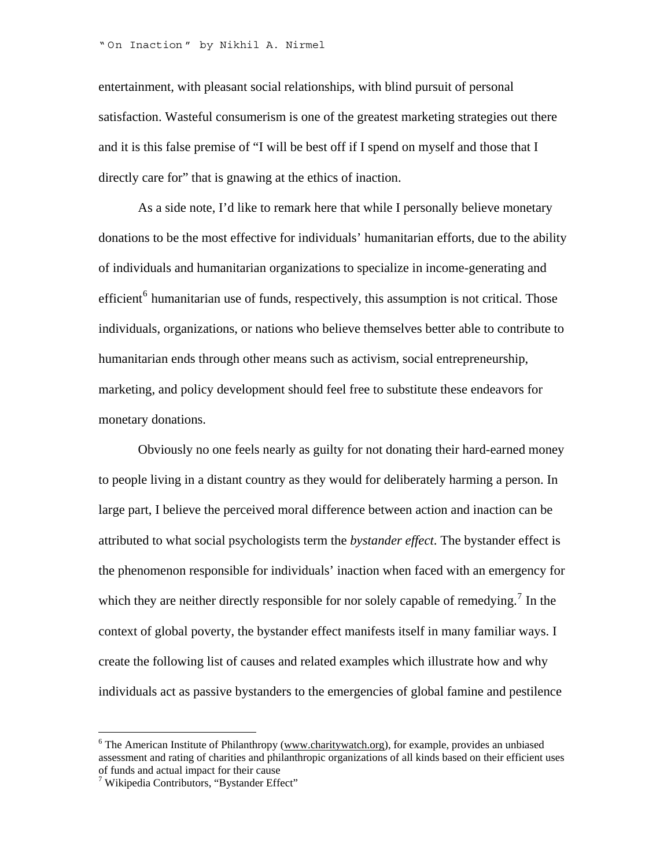entertainment, with pleasant social relationships, with blind pursuit of personal satisfaction. Wasteful consumerism is one of the greatest marketing strategies out there and it is this false premise of "I will be best off if I spend on myself and those that I directly care for" that is gnawing at the ethics of inaction.

As a side note, I'd like to remark here that while I personally believe monetary donations to be the most effective for individuals' humanitarian efforts, due to the ability of individuals and humanitarian organizations to specialize in income-generating and efficient<sup>[6](#page-7-0)</sup> humanitarian use of funds, respectively, this assumption is not critical. Those individuals, organizations, or nations who believe themselves better able to contribute to humanitarian ends through other means such as activism, social entrepreneurship, marketing, and policy development should feel free to substitute these endeavors for monetary donations.

Obviously no one feels nearly as guilty for not donating their hard-earned money to people living in a distant country as they would for deliberately harming a person. In large part, I believe the perceived moral difference between action and inaction can be attributed to what social psychologists term the *bystander effect*. The bystander effect is the phenomenon responsible for individuals' inaction when faced with an emergency for which they are neither directly responsible for nor solely capable of remedying.<sup>[7](#page-7-1)</sup> In the context of global poverty, the bystander effect manifests itself in many familiar ways. I create the following list of causes and related examples which illustrate how and why individuals act as passive bystanders to the emergencies of global famine and pestilence

<u>.</u>

<span id="page-7-0"></span> $6$  The American Institute of Philanthropy [\(www.charitywatch.org\)](http://www.charitywatch.org/), for example, provides an unbiased assessment and rating of charities and philanthropic organizations of all kinds based on their efficient uses of funds and actual impact for their cause

<span id="page-7-1"></span><sup>7</sup> Wikipedia Contributors, "Bystander Effect"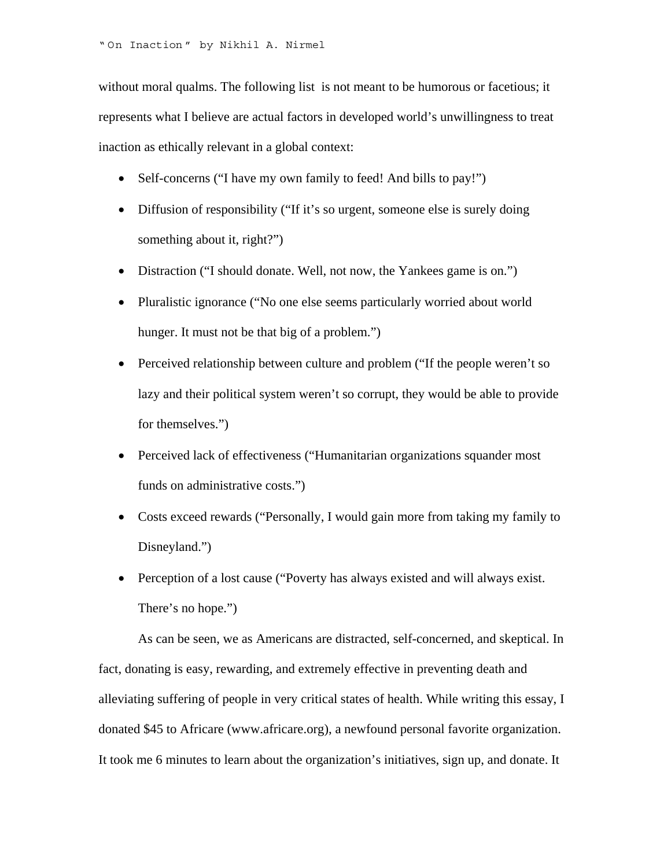without moral qualms. The following list is not meant to be humorous or facetious; it represents what I believe are actual factors in developed world's unwillingness to treat inaction as ethically relevant in a global context:

- Self-concerns ("I have my own family to feed! And bills to pay!")
- Diffusion of responsibility ("If it's so urgent, someone else is surely doing something about it, right?")
- Distraction ("I should donate. Well, not now, the Yankees game is on.")
- Pluralistic ignorance ("No one else seems particularly worried about world hunger. It must not be that big of a problem.")
- Perceived relationship between culture and problem ("If the people weren't so lazy and their political system weren't so corrupt, they would be able to provide for themselves.")
- Perceived lack of effectiveness ("Humanitarian organizations squander most funds on administrative costs.")
- Costs exceed rewards ("Personally, I would gain more from taking my family to Disneyland.")
- Perception of a lost cause ("Poverty has always existed and will always exist. There's no hope.")

As can be seen, we as Americans are distracted, self-concerned, and skeptical. In fact, donating is easy, rewarding, and extremely effective in preventing death and alleviating suffering of people in very critical states of health. While writing this essay, I donated \$45 to Africare (www.africare.org), a newfound personal favorite organization. It took me 6 minutes to learn about the organization's initiatives, sign up, and donate. It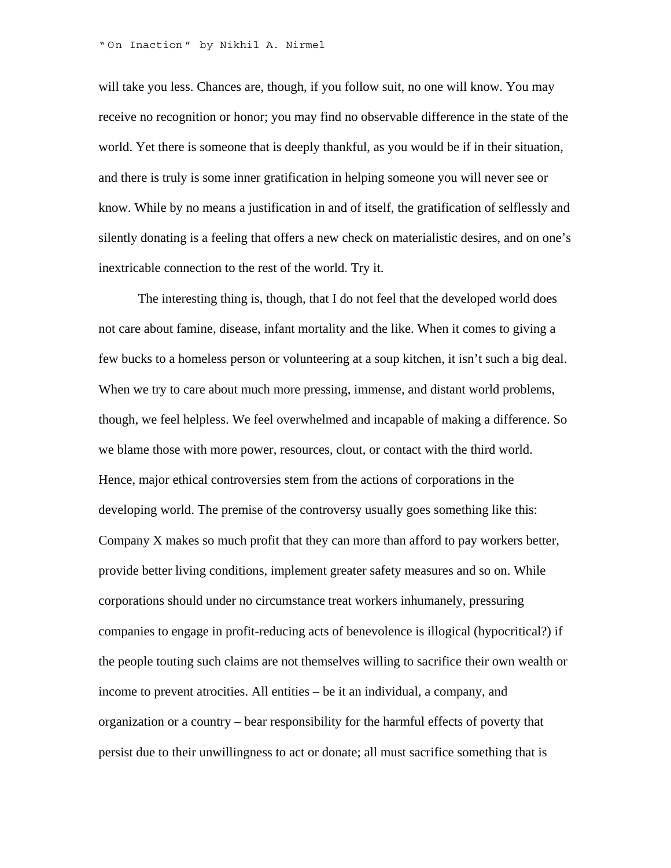will take you less. Chances are, though, if you follow suit, no one will know. You may receive no recognition or honor; you may find no observable difference in the state of the world. Yet there is someone that is deeply thankful, as you would be if in their situation, and there is truly is some inner gratification in helping someone you will never see or know. While by no means a justification in and of itself, the gratification of selflessly and silently donating is a feeling that offers a new check on materialistic desires, and on one's inextricable connection to the rest of the world. Try it.

The interesting thing is, though, that I do not feel that the developed world does not care about famine, disease, infant mortality and the like. When it comes to giving a few bucks to a homeless person or volunteering at a soup kitchen, it isn't such a big deal. When we try to care about much more pressing, immense, and distant world problems, though, we feel helpless. We feel overwhelmed and incapable of making a difference. So we blame those with more power, resources, clout, or contact with the third world. Hence, major ethical controversies stem from the actions of corporations in the developing world. The premise of the controversy usually goes something like this: Company X makes so much profit that they can more than afford to pay workers better, provide better living conditions, implement greater safety measures and so on. While corporations should under no circumstance treat workers inhumanely, pressuring companies to engage in profit-reducing acts of benevolence is illogical (hypocritical?) if the people touting such claims are not themselves willing to sacrifice their own wealth or income to prevent atrocities. All entities – be it an individual, a company, and organization or a country – bear responsibility for the harmful effects of poverty that persist due to their unwillingness to act or donate; all must sacrifice something that is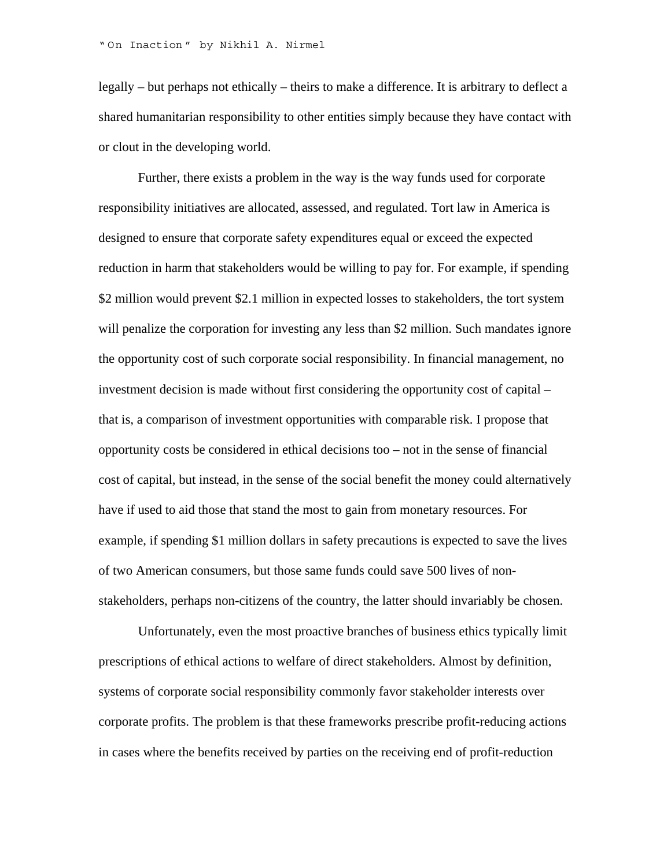legally – but perhaps not ethically – theirs to make a difference. It is arbitrary to deflect a shared humanitarian responsibility to other entities simply because they have contact with or clout in the developing world.

Further, there exists a problem in the way is the way funds used for corporate responsibility initiatives are allocated, assessed, and regulated. Tort law in America is designed to ensure that corporate safety expenditures equal or exceed the expected reduction in harm that stakeholders would be willing to pay for. For example, if spending \$2 million would prevent \$2.1 million in expected losses to stakeholders, the tort system will penalize the corporation for investing any less than \$2 million. Such mandates ignore the opportunity cost of such corporate social responsibility. In financial management, no investment decision is made without first considering the opportunity cost of capital – that is, a comparison of investment opportunities with comparable risk. I propose that opportunity costs be considered in ethical decisions too – not in the sense of financial cost of capital, but instead, in the sense of the social benefit the money could alternatively have if used to aid those that stand the most to gain from monetary resources. For example, if spending \$1 million dollars in safety precautions is expected to save the lives of two American consumers, but those same funds could save 500 lives of nonstakeholders, perhaps non-citizens of the country, the latter should invariably be chosen.

Unfortunately, even the most proactive branches of business ethics typically limit prescriptions of ethical actions to welfare of direct stakeholders. Almost by definition, systems of corporate social responsibility commonly favor stakeholder interests over corporate profits. The problem is that these frameworks prescribe profit-reducing actions in cases where the benefits received by parties on the receiving end of profit-reduction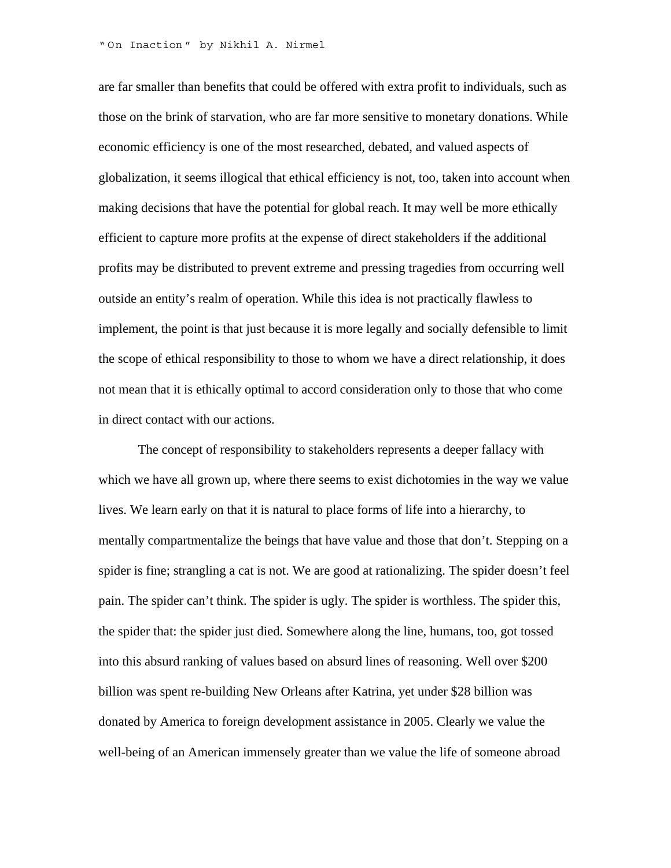are far smaller than benefits that could be offered with extra profit to individuals, such as those on the brink of starvation, who are far more sensitive to monetary donations. While economic efficiency is one of the most researched, debated, and valued aspects of globalization, it seems illogical that ethical efficiency is not, too, taken into account when making decisions that have the potential for global reach. It may well be more ethically efficient to capture more profits at the expense of direct stakeholders if the additional profits may be distributed to prevent extreme and pressing tragedies from occurring well outside an entity's realm of operation. While this idea is not practically flawless to implement, the point is that just because it is more legally and socially defensible to limit the scope of ethical responsibility to those to whom we have a direct relationship, it does not mean that it is ethically optimal to accord consideration only to those that who come in direct contact with our actions.

The concept of responsibility to stakeholders represents a deeper fallacy with which we have all grown up, where there seems to exist dichotomies in the way we value lives. We learn early on that it is natural to place forms of life into a hierarchy, to mentally compartmentalize the beings that have value and those that don't. Stepping on a spider is fine; strangling a cat is not. We are good at rationalizing. The spider doesn't feel pain. The spider can't think. The spider is ugly. The spider is worthless. The spider this, the spider that: the spider just died. Somewhere along the line, humans, too, got tossed into this absurd ranking of values based on absurd lines of reasoning. Well over \$200 billion was spent re-building New Orleans after Katrina, yet under \$28 billion was donated by America to foreign development assistance in 2005. Clearly we value the well-being of an American immensely greater than we value the life of someone abroad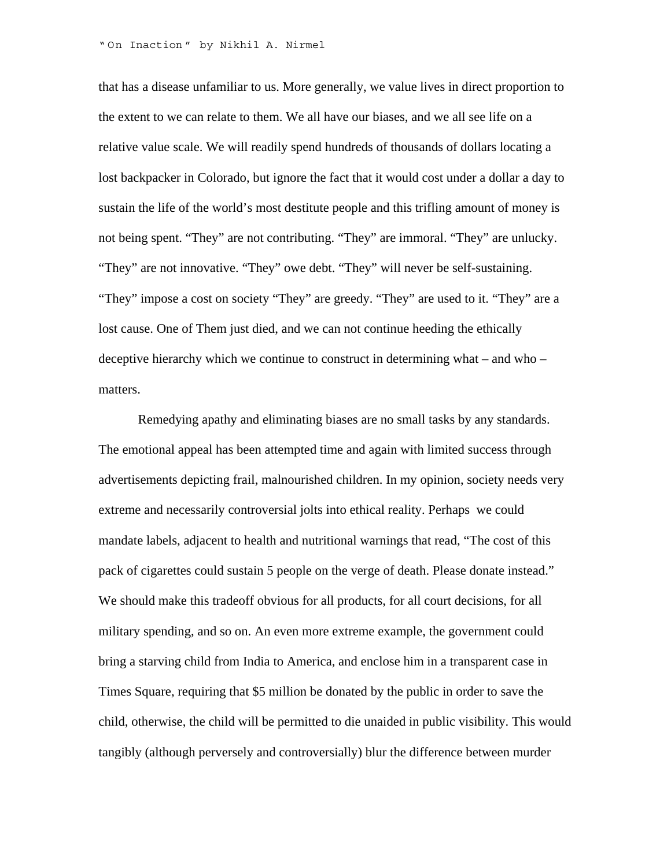that has a disease unfamiliar to us. More generally, we value lives in direct proportion to the extent to we can relate to them. We all have our biases, and we all see life on a relative value scale. We will readily spend hundreds of thousands of dollars locating a lost backpacker in Colorado, but ignore the fact that it would cost under a dollar a day to sustain the life of the world's most destitute people and this trifling amount of money is not being spent. "They" are not contributing. "They" are immoral. "They" are unlucky. "They" are not innovative. "They" owe debt. "They" will never be self-sustaining. "They" impose a cost on society "They" are greedy. "They" are used to it. "They" are a lost cause. One of Them just died, and we can not continue heeding the ethically deceptive hierarchy which we continue to construct in determining what – and who – matters.

 Remedying apathy and eliminating biases are no small tasks by any standards. The emotional appeal has been attempted time and again with limited success through advertisements depicting frail, malnourished children. In my opinion, society needs very extreme and necessarily controversial jolts into ethical reality. Perhaps we could mandate labels, adjacent to health and nutritional warnings that read, "The cost of this pack of cigarettes could sustain 5 people on the verge of death. Please donate instead." We should make this tradeoff obvious for all products, for all court decisions, for all military spending, and so on. An even more extreme example, the government could bring a starving child from India to America, and enclose him in a transparent case in Times Square, requiring that \$5 million be donated by the public in order to save the child, otherwise, the child will be permitted to die unaided in public visibility. This would tangibly (although perversely and controversially) blur the difference between murder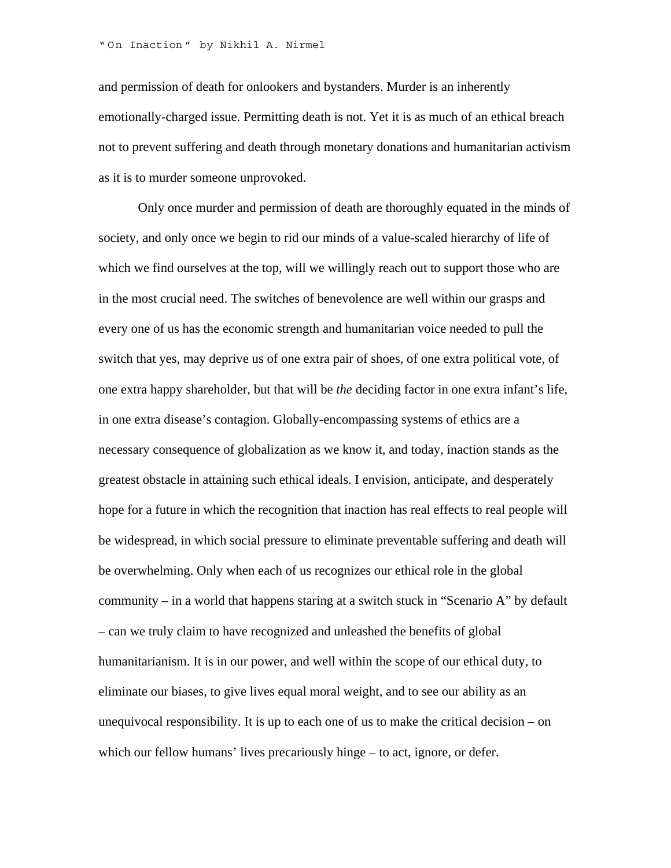and permission of death for onlookers and bystanders. Murder is an inherently emotionally-charged issue. Permitting death is not. Yet it is as much of an ethical breach not to prevent suffering and death through monetary donations and humanitarian activism as it is to murder someone unprovoked.

Only once murder and permission of death are thoroughly equated in the minds of society, and only once we begin to rid our minds of a value-scaled hierarchy of life of which we find ourselves at the top, will we willingly reach out to support those who are in the most crucial need. The switches of benevolence are well within our grasps and every one of us has the economic strength and humanitarian voice needed to pull the switch that yes, may deprive us of one extra pair of shoes, of one extra political vote, of one extra happy shareholder, but that will be *the* deciding factor in one extra infant's life, in one extra disease's contagion. Globally-encompassing systems of ethics are a necessary consequence of globalization as we know it, and today, inaction stands as the greatest obstacle in attaining such ethical ideals. I envision, anticipate, and desperately hope for a future in which the recognition that inaction has real effects to real people will be widespread, in which social pressure to eliminate preventable suffering and death will be overwhelming. Only when each of us recognizes our ethical role in the global community – in a world that happens staring at a switch stuck in "Scenario A" by default – can we truly claim to have recognized and unleashed the benefits of global humanitarianism. It is in our power, and well within the scope of our ethical duty, to eliminate our biases, to give lives equal moral weight, and to see our ability as an unequivocal responsibility. It is up to each one of us to make the critical decision – on which our fellow humans' lives precariously hinge – to act, ignore, or defer.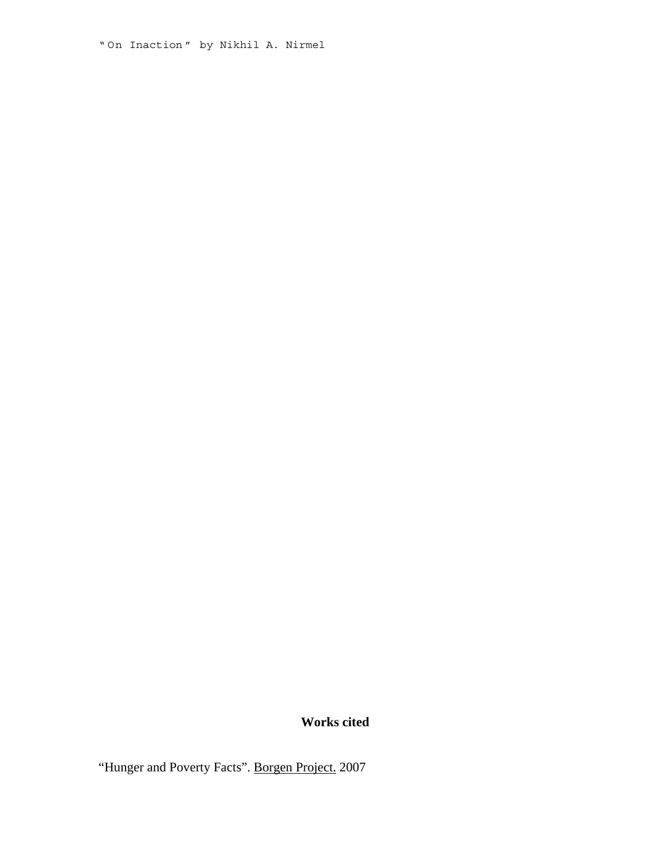" On Inaction " by Nikhil A. Nirmel

### **Works cited**

"Hunger and Poverty Facts". Borgen Project. 2007